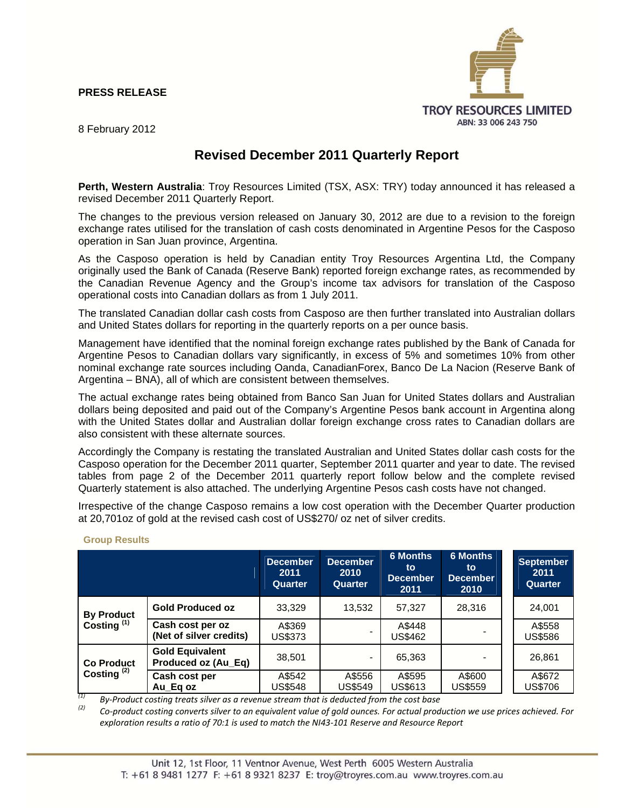# **PRESS RELEASE**



8 February 2012

# **Revised December 2011 Quarterly Report**

**Perth, Western Australia**: Troy Resources Limited (TSX, ASX: TRY) today announced it has released a revised December 2011 Quarterly Report.

The changes to the previous version released on January 30, 2012 are due to a revision to the foreign exchange rates utilised for the translation of cash costs denominated in Argentine Pesos for the Casposo operation in San Juan province, Argentina.

As the Casposo operation is held by Canadian entity Troy Resources Argentina Ltd, the Company originally used the Bank of Canada (Reserve Bank) reported foreign exchange rates, as recommended by the Canadian Revenue Agency and the Group's income tax advisors for translation of the Casposo operational costs into Canadian dollars as from 1 July 2011.

The translated Canadian dollar cash costs from Casposo are then further translated into Australian dollars and United States dollars for reporting in the quarterly reports on a per ounce basis.

Management have identified that the nominal foreign exchange rates published by the Bank of Canada for Argentine Pesos to Canadian dollars vary significantly, in excess of 5% and sometimes 10% from other nominal exchange rate sources including Oanda, CanadianForex, Banco De La Nacion (Reserve Bank of Argentina – BNA), all of which are consistent between themselves.

The actual exchange rates being obtained from Banco San Juan for United States dollars and Australian dollars being deposited and paid out of the Company's Argentine Pesos bank account in Argentina along with the United States dollar and Australian dollar foreign exchange cross rates to Canadian dollars are also consistent with these alternate sources.

Accordingly the Company is restating the translated Australian and United States dollar cash costs for the Casposo operation for the December 2011 quarter, September 2011 quarter and year to date. The revised tables from page 2 of the December 2011 quarterly report follow below and the complete revised Quarterly statement is also attached. The underlying Argentine Pesos cash costs have not changed.

Irrespective of the change Casposo remains a low cost operation with the December Quarter production at 20,701oz of gold at the revised cash cost of US\$270/ oz net of silver credits.

|                                             |                                               | <b>December</b><br>2011<br>Quarter | December<br>2010<br>Quarter | <b>6 Months</b><br>to<br><b>December</b><br>2011 | <b>6 Months</b><br>to<br><b>December</b><br>2010 | <b>September</b><br>2011<br>Quarter |
|---------------------------------------------|-----------------------------------------------|------------------------------------|-----------------------------|--------------------------------------------------|--------------------------------------------------|-------------------------------------|
| <b>By Product</b><br>Costing <sup>(1)</sup> | <b>Gold Produced oz</b>                       | 33,329                             | 13,532                      | 57,327                                           | 28,316                                           | 24.001                              |
|                                             | Cash cost per oz<br>(Net of silver credits)   | A\$369<br><b>US\$373</b>           | $\qquad \qquad$             | A\$448<br>US\$462                                |                                                  | A\$558<br>US\$586                   |
| <b>Co Product</b><br>Costing $(2)$          | <b>Gold Equivalent</b><br>Produced oz (Au_Eq) | 38,501                             | $\blacksquare$              | 65,363                                           |                                                  | 26,861                              |
|                                             | Cash cost per<br>Au Eg oz                     | A\$542<br><b>US\$548</b>           | A\$556<br>US\$549           | A\$595<br>US\$613                                | A\$600<br>US\$559                                | A\$672<br>US\$706                   |

## **Group Results**

*(1) By‐Product costing treats silver as a revenue stream that is deducted from the cost base*

Co-product costing converts silver to an equivalent value of gold ounces. For actual production we use prices achieved. For exploration results a ratio of 70:1 is used to match the NI43-101 Reserve and Resource Report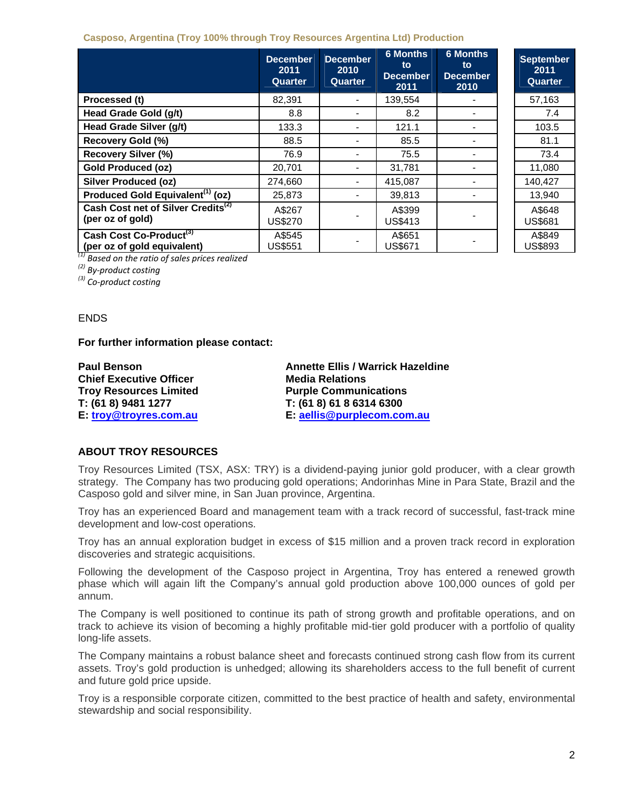## **Casposo, Argentina (Troy 100% through Troy Resources Argentina Ltd) Production**

|                                                                    | <b>December</b><br>2011<br>Quarter | <b>December</b><br>2010<br>Quarter | <b>6 Months</b><br>to<br><b>December</b><br>2011 | <b>6 Months</b><br>to.<br><b>December</b><br>2010 | <b>September</b><br>2011<br>Quarter |
|--------------------------------------------------------------------|------------------------------------|------------------------------------|--------------------------------------------------|---------------------------------------------------|-------------------------------------|
| Processed (t)                                                      | 82,391                             |                                    | 139,554                                          |                                                   | 57,163                              |
| Head Grade Gold (g/t)                                              | 8.8                                |                                    | 8.2                                              |                                                   | 7.4                                 |
| Head Grade Silver (g/t)                                            | 133.3                              |                                    | 121.1                                            |                                                   | 103.5                               |
| Recovery Gold (%)                                                  | 88.5                               |                                    | 85.5                                             |                                                   | 81.1                                |
| <b>Recovery Silver (%)</b>                                         | 76.9                               |                                    | 75.5                                             |                                                   | 73.4                                |
| <b>Gold Produced (oz)</b>                                          | 20,701                             |                                    | 31,781                                           |                                                   | 11,080                              |
| <b>Silver Produced (oz)</b>                                        | 274,660                            |                                    | 415,087                                          |                                                   | 140,427                             |
| Produced Gold Equivalent <sup>(1)</sup> (oz)                       | 25,873                             |                                    | 39,813                                           |                                                   | 13.940                              |
| Cash Cost net of Silver Credits <sup>(2)</sup><br>(per oz of gold) | A\$267<br><b>US\$270</b>           |                                    | A\$399<br><b>US\$413</b>                         |                                                   | A\$648<br><b>US\$681</b>            |
| Cash Cost Co-Product <sup>(3)</sup><br>(per oz of gold equivalent) | A\$545<br><b>US\$551</b>           |                                    | A\$651<br>US\$671                                |                                                   | A\$849<br><b>US\$893</b>            |

*(1) Based on the ratio of sales prices realized*

*(2) By‐product costing*

*(3) Co‐product costing*

## ENDS

**For further information please contact:** 

**Chief Executive Officer Chief Executive Officer Media Relations Troy Resources Limited Purple Communications T: (61 8) 9481 1277 T: (61 8) 61 8 6314 6300** 

**Paul Benson Annette Ellis / Warrick Hazeldine E: troy@troyres.com.au E: aellis@purplecom.com.au**

# **ABOUT TROY RESOURCES**

Troy Resources Limited (TSX, ASX: TRY) is a dividend-paying junior gold producer, with a clear growth strategy. The Company has two producing gold operations; Andorinhas Mine in Para State, Brazil and the Casposo gold and silver mine, in San Juan province, Argentina.

Troy has an experienced Board and management team with a track record of successful, fast-track mine development and low-cost operations.

Troy has an annual exploration budget in excess of \$15 million and a proven track record in exploration discoveries and strategic acquisitions.

Following the development of the Casposo project in Argentina, Troy has entered a renewed growth phase which will again lift the Company's annual gold production above 100,000 ounces of gold per annum.

The Company is well positioned to continue its path of strong growth and profitable operations, and on track to achieve its vision of becoming a highly profitable mid-tier gold producer with a portfolio of quality long-life assets.

The Company maintains a robust balance sheet and forecasts continued strong cash flow from its current assets. Troy's gold production is unhedged; allowing its shareholders access to the full benefit of current and future gold price upside.

Troy is a responsible corporate citizen, committed to the best practice of health and safety, environmental stewardship and social responsibility.